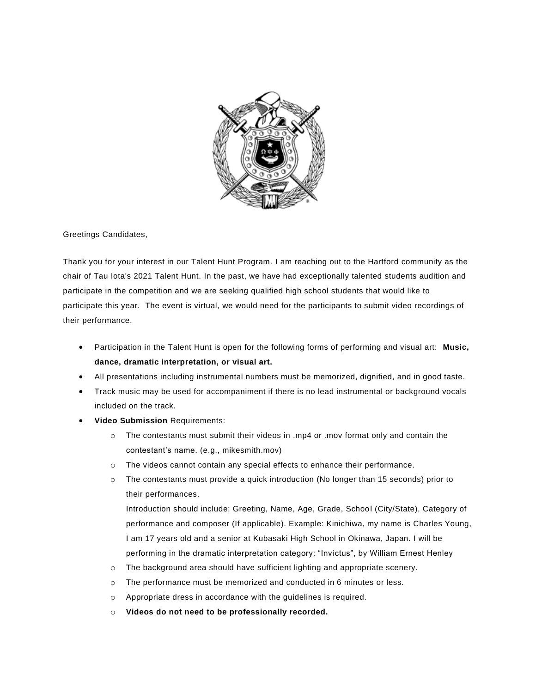

Greetings Candidates,

Thank you for your interest in our Talent Hunt Program. I am reaching out to the Hartford community as the chair of Tau Iota's 2021 Talent Hunt. In the past, we have had exceptionally talented students audition and participate in the competition and we are seeking qualified high school students that would like to participate this year. The event is virtual, we would need for the participants to submit video recordings of their performance.

- Participation in the Talent Hunt is open for the following forms of performing and visual art: **Music, dance, dramatic interpretation, or visual art.**
- All presentations including instrumental numbers must be memorized, dignified, and in good taste.
- Track music may be used for accompaniment if there is no lead instrumental or background vocals included on the track.
- **Video Submission** Requirements:
	- o The contestants must submit their videos in .mp4 or .mov format only and contain the contestant's name. (e.g., mikesmith.mov)
	- o The videos cannot contain any special effects to enhance their performance.
	- o The contestants must provide a quick introduction (No longer than 15 seconds) prior to their performances.

Introduction should include: Greeting, Name, Age, Grade, School (City/State), Category of performance and composer (If applicable). Example: Kinichiwa, my name is Charles Young, I am 17 years old and a senior at Kubasaki High School in Okinawa, Japan. I will be performing in the dramatic interpretation category: "Invictus", by William Ernest Henley

- o The background area should have sufficient lighting and appropriate scenery.
- o The performance must be memorized and conducted in 6 minutes or less.
- o Appropriate dress in accordance with the guidelines is required.
- o **Videos do not need to be professionally recorded.**